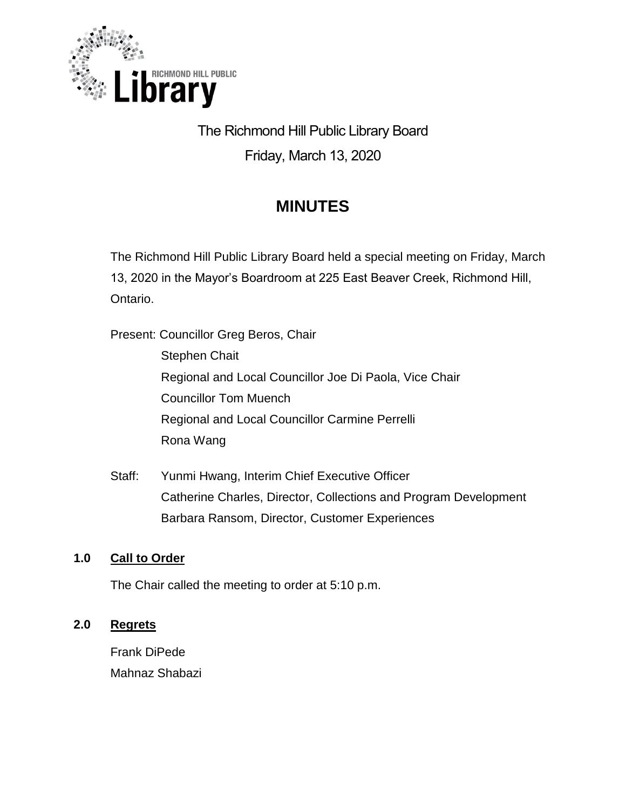

# The Richmond Hill Public Library Board Friday, March 13, 2020

## **MINUTES**

The Richmond Hill Public Library Board held a special meeting on Friday, March 13, 2020 in the Mayor's Boardroom at 225 East Beaver Creek, Richmond Hill, Ontario.

Present: Councillor Greg Beros, Chair Stephen Chait Regional and Local Councillor Joe Di Paola, Vice Chair Councillor Tom Muench Regional and Local Councillor Carmine Perrelli Rona Wang

Staff: Yunmi Hwang, Interim Chief Executive Officer Catherine Charles, Director, Collections and Program Development Barbara Ransom, Director, Customer Experiences

## **1.0 Call to Order**

The Chair called the meeting to order at 5:10 p.m.

## **2.0 Regrets**

Frank DiPede Mahnaz Shabazi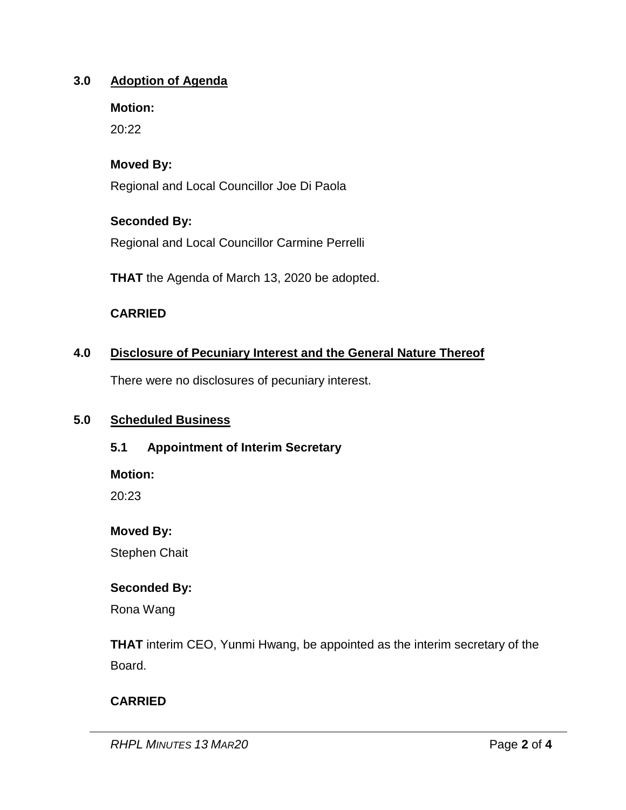#### **3.0 Adoption of Agenda**

**Motion:**

20:22

## **Moved By:**

Regional and Local Councillor Joe Di Paola

## **Seconded By:**

Regional and Local Councillor Carmine Perrelli

**THAT** the Agenda of March 13, 2020 be adopted.

## **CARRIED**

## **4.0 Disclosure of Pecuniary Interest and the General Nature Thereof**

There were no disclosures of pecuniary interest.

#### **5.0 Scheduled Business**

#### **5.1 Appointment of Interim Secretary**

**Motion:** 

20:23

**Moved By:**

Stephen Chait

#### **Seconded By:**

Rona Wang

**THAT** interim CEO, Yunmi Hwang, be appointed as the interim secretary of the Board.

## **CARRIED**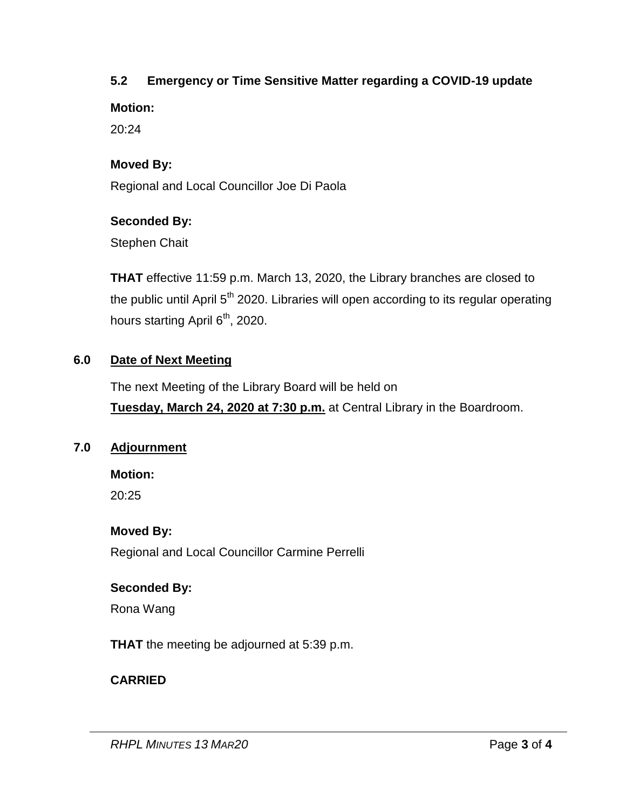## **5.2 Emergency or Time Sensitive Matter regarding a COVID-19 update**

**Motion:** 

20:24

## **Moved By:**

Regional and Local Councillor Joe Di Paola

## **Seconded By:**

Stephen Chait

**THAT** effective 11:59 p.m. March 13, 2020, the Library branches are closed to the public until April  $5<sup>th</sup>$  2020. Libraries will open according to its regular operating hours starting April 6<sup>th</sup>, 2020.

## **6.0 Date of Next Meeting**

The next Meeting of the Library Board will be held on **Tuesday, March 24, 2020 at 7:30 p.m.** at Central Library in the Boardroom.

#### **7.0 Adjournment**

**Motion:** 

20:25

## **Moved By:**

Regional and Local Councillor Carmine Perrelli

#### **Seconded By:**

Rona Wang

**THAT** the meeting be adjourned at 5:39 p.m.

## **CARRIED**